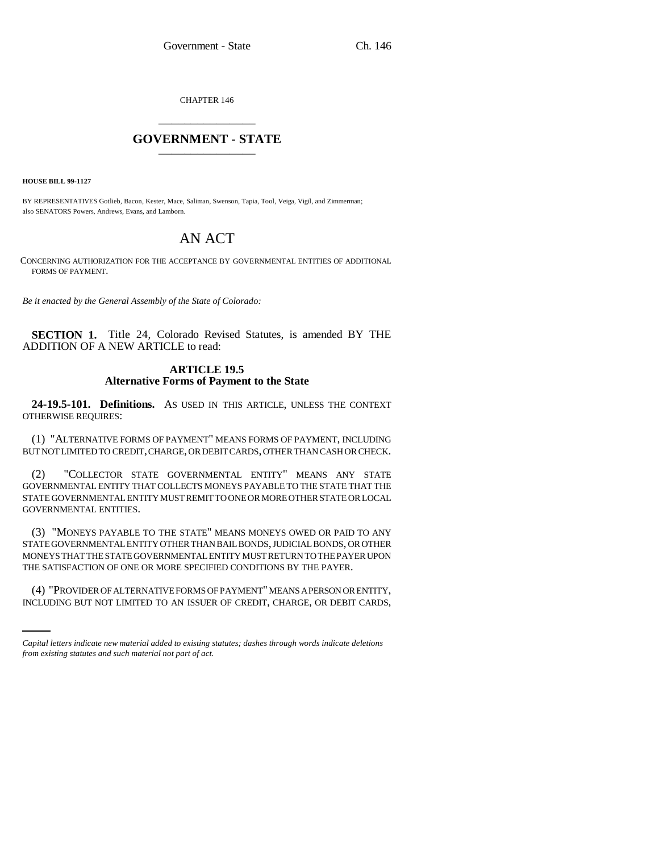CHAPTER 146 \_\_\_\_\_\_\_\_\_\_\_\_\_\_\_

# **GOVERNMENT - STATE** \_\_\_\_\_\_\_\_\_\_\_\_\_\_\_

**HOUSE BILL 99-1127** 

BY REPRESENTATIVES Gotlieb, Bacon, Kester, Mace, Saliman, Swenson, Tapia, Tool, Veiga, Vigil, and Zimmerman; also SENATORS Powers, Andrews, Evans, and Lamborn.

# AN ACT

CONCERNING AUTHORIZATION FOR THE ACCEPTANCE BY GOVERNMENTAL ENTITIES OF ADDITIONAL FORMS OF PAYMENT.

*Be it enacted by the General Assembly of the State of Colorado:*

**SECTION 1.** Title 24, Colorado Revised Statutes, is amended BY THE ADDITION OF A NEW ARTICLE to read:

## **ARTICLE 19.5 Alternative Forms of Payment to the State**

**24-19.5-101. Definitions.** AS USED IN THIS ARTICLE, UNLESS THE CONTEXT OTHERWISE REQUIRES:

(1) "ALTERNATIVE FORMS OF PAYMENT" MEANS FORMS OF PAYMENT, INCLUDING BUT NOT LIMITED TO CREDIT, CHARGE, OR DEBIT CARDS, OTHER THAN CASH OR CHECK.

(2) "COLLECTOR STATE GOVERNMENTAL ENTITY" MEANS ANY STATE GOVERNMENTAL ENTITY THAT COLLECTS MONEYS PAYABLE TO THE STATE THAT THE STATE GOVERNMENTAL ENTITY MUST REMIT TO ONE OR MORE OTHER STATE OR LOCAL GOVERNMENTAL ENTITIES.

THE SATISFACTION OF ONE OR MORE SPECIFIED CONDITIONS BY THE PAYER. (3) "MONEYS PAYABLE TO THE STATE" MEANS MONEYS OWED OR PAID TO ANY STATE GOVERNMENTAL ENTITY OTHER THAN BAIL BONDS, JUDICIAL BONDS, OR OTHER MONEYS THAT THE STATE GOVERNMENTAL ENTITY MUST RETURN TO THE PAYER UPON

(4) "PROVIDER OF ALTERNATIVE FORMS OF PAYMENT" MEANS A PERSON OR ENTITY, INCLUDING BUT NOT LIMITED TO AN ISSUER OF CREDIT, CHARGE, OR DEBIT CARDS,

*Capital letters indicate new material added to existing statutes; dashes through words indicate deletions from existing statutes and such material not part of act.*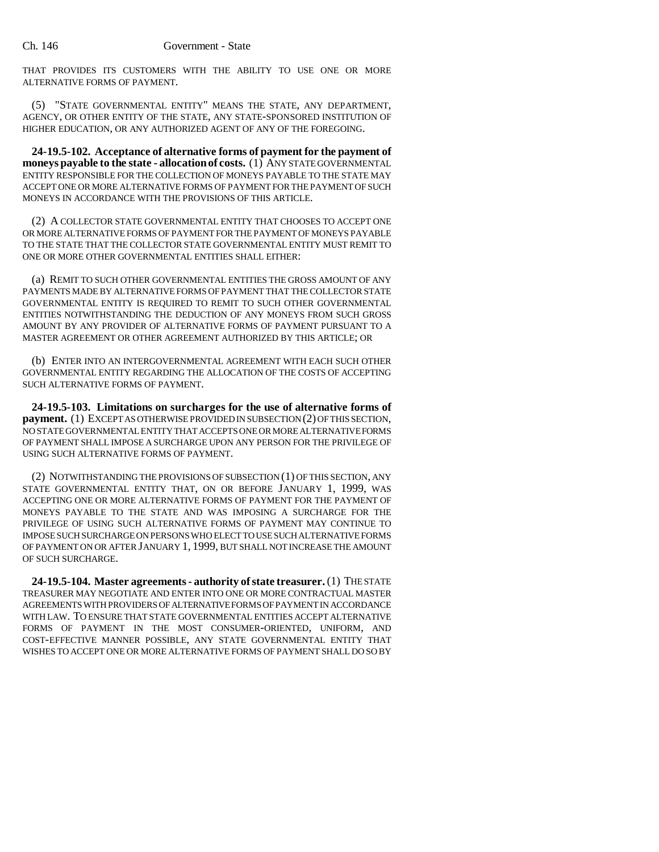THAT PROVIDES ITS CUSTOMERS WITH THE ABILITY TO USE ONE OR MORE ALTERNATIVE FORMS OF PAYMENT.

(5) "STATE GOVERNMENTAL ENTITY" MEANS THE STATE, ANY DEPARTMENT, AGENCY, OR OTHER ENTITY OF THE STATE, ANY STATE-SPONSORED INSTITUTION OF HIGHER EDUCATION, OR ANY AUTHORIZED AGENT OF ANY OF THE FOREGOING.

**24-19.5-102. Acceptance of alternative forms of payment for the payment of moneys payable to the state - allocation of costs.** (1) ANY STATE GOVERNMENTAL ENTITY RESPONSIBLE FOR THE COLLECTION OF MONEYS PAYABLE TO THE STATE MAY ACCEPT ONE OR MORE ALTERNATIVE FORMS OF PAYMENT FOR THE PAYMENT OF SUCH MONEYS IN ACCORDANCE WITH THE PROVISIONS OF THIS ARTICLE.

(2) A COLLECTOR STATE GOVERNMENTAL ENTITY THAT CHOOSES TO ACCEPT ONE OR MORE ALTERNATIVE FORMS OF PAYMENT FOR THE PAYMENT OF MONEYS PAYABLE TO THE STATE THAT THE COLLECTOR STATE GOVERNMENTAL ENTITY MUST REMIT TO ONE OR MORE OTHER GOVERNMENTAL ENTITIES SHALL EITHER:

(a) REMIT TO SUCH OTHER GOVERNMENTAL ENTITIES THE GROSS AMOUNT OF ANY PAYMENTS MADE BY ALTERNATIVE FORMS OF PAYMENT THAT THE COLLECTOR STATE GOVERNMENTAL ENTITY IS REQUIRED TO REMIT TO SUCH OTHER GOVERNMENTAL ENTITIES NOTWITHSTANDING THE DEDUCTION OF ANY MONEYS FROM SUCH GROSS AMOUNT BY ANY PROVIDER OF ALTERNATIVE FORMS OF PAYMENT PURSUANT TO A MASTER AGREEMENT OR OTHER AGREEMENT AUTHORIZED BY THIS ARTICLE; OR

(b) ENTER INTO AN INTERGOVERNMENTAL AGREEMENT WITH EACH SUCH OTHER GOVERNMENTAL ENTITY REGARDING THE ALLOCATION OF THE COSTS OF ACCEPTING SUCH ALTERNATIVE FORMS OF PAYMENT.

**24-19.5-103. Limitations on surcharges for the use of alternative forms of payment.** (1) EXCEPT AS OTHERWISE PROVIDED IN SUBSECTION (2) OF THIS SECTION, NO STATE GOVERNMENTAL ENTITY THAT ACCEPTS ONE OR MORE ALTERNATIVE FORMS OF PAYMENT SHALL IMPOSE A SURCHARGE UPON ANY PERSON FOR THE PRIVILEGE OF USING SUCH ALTERNATIVE FORMS OF PAYMENT.

(2) NOTWITHSTANDING THE PROVISIONS OF SUBSECTION (1) OF THIS SECTION, ANY STATE GOVERNMENTAL ENTITY THAT, ON OR BEFORE JANUARY 1, 1999, WAS ACCEPTING ONE OR MORE ALTERNATIVE FORMS OF PAYMENT FOR THE PAYMENT OF MONEYS PAYABLE TO THE STATE AND WAS IMPOSING A SURCHARGE FOR THE PRIVILEGE OF USING SUCH ALTERNATIVE FORMS OF PAYMENT MAY CONTINUE TO IMPOSE SUCH SURCHARGE ON PERSONS WHO ELECT TO USE SUCH ALTERNATIVE FORMS OF PAYMENT ON OR AFTER JANUARY 1, 1999, BUT SHALL NOT INCREASE THE AMOUNT OF SUCH SURCHARGE.

**24-19.5-104. Master agreements - authority of state treasurer.** (1) THE STATE TREASURER MAY NEGOTIATE AND ENTER INTO ONE OR MORE CONTRACTUAL MASTER AGREEMENTS WITH PROVIDERS OF ALTERNATIVE FORMS OF PAYMENT IN ACCORDANCE WITH LAW. TO ENSURE THAT STATE GOVERNMENTAL ENTITIES ACCEPT ALTERNATIVE FORMS OF PAYMENT IN THE MOST CONSUMER-ORIENTED, UNIFORM, AND COST-EFFECTIVE MANNER POSSIBLE, ANY STATE GOVERNMENTAL ENTITY THAT WISHES TO ACCEPT ONE OR MORE ALTERNATIVE FORMS OF PAYMENT SHALL DO SO BY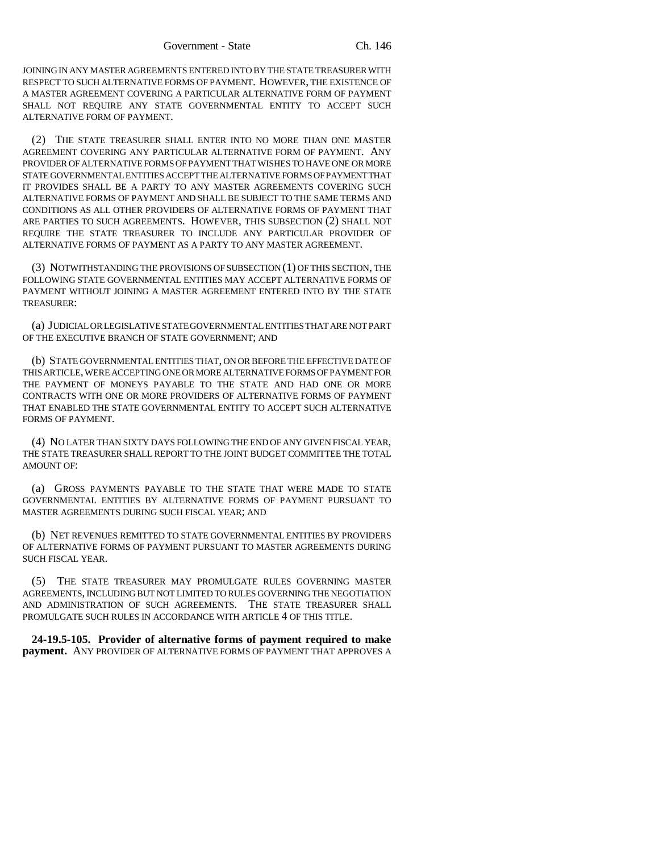JOINING IN ANY MASTER AGREEMENTS ENTERED INTO BY THE STATE TREASURER WITH RESPECT TO SUCH ALTERNATIVE FORMS OF PAYMENT. HOWEVER, THE EXISTENCE OF A MASTER AGREEMENT COVERING A PARTICULAR ALTERNATIVE FORM OF PAYMENT SHALL NOT REQUIRE ANY STATE GOVERNMENTAL ENTITY TO ACCEPT SUCH ALTERNATIVE FORM OF PAYMENT.

(2) THE STATE TREASURER SHALL ENTER INTO NO MORE THAN ONE MASTER AGREEMENT COVERING ANY PARTICULAR ALTERNATIVE FORM OF PAYMENT. ANY PROVIDER OF ALTERNATIVE FORMS OF PAYMENT THAT WISHES TO HAVE ONE OR MORE STATE GOVERNMENTAL ENTITIES ACCEPT THE ALTERNATIVE FORMS OF PAYMENT THAT IT PROVIDES SHALL BE A PARTY TO ANY MASTER AGREEMENTS COVERING SUCH ALTERNATIVE FORMS OF PAYMENT AND SHALL BE SUBJECT TO THE SAME TERMS AND CONDITIONS AS ALL OTHER PROVIDERS OF ALTERNATIVE FORMS OF PAYMENT THAT ARE PARTIES TO SUCH AGREEMENTS. HOWEVER, THIS SUBSECTION (2) SHALL NOT REQUIRE THE STATE TREASURER TO INCLUDE ANY PARTICULAR PROVIDER OF ALTERNATIVE FORMS OF PAYMENT AS A PARTY TO ANY MASTER AGREEMENT.

(3) NOTWITHSTANDING THE PROVISIONS OF SUBSECTION (1) OF THIS SECTION, THE FOLLOWING STATE GOVERNMENTAL ENTITIES MAY ACCEPT ALTERNATIVE FORMS OF PAYMENT WITHOUT JOINING A MASTER AGREEMENT ENTERED INTO BY THE STATE TREASURER:

(a) JUDICIAL OR LEGISLATIVE STATE GOVERNMENTAL ENTITIES THAT ARE NOT PART OF THE EXECUTIVE BRANCH OF STATE GOVERNMENT; AND

(b) STATE GOVERNMENTAL ENTITIES THAT, ON OR BEFORE THE EFFECTIVE DATE OF THIS ARTICLE, WERE ACCEPTING ONE OR MORE ALTERNATIVE FORMS OF PAYMENT FOR THE PAYMENT OF MONEYS PAYABLE TO THE STATE AND HAD ONE OR MORE CONTRACTS WITH ONE OR MORE PROVIDERS OF ALTERNATIVE FORMS OF PAYMENT THAT ENABLED THE STATE GOVERNMENTAL ENTITY TO ACCEPT SUCH ALTERNATIVE FORMS OF PAYMENT.

(4) NO LATER THAN SIXTY DAYS FOLLOWING THE END OF ANY GIVEN FISCAL YEAR, THE STATE TREASURER SHALL REPORT TO THE JOINT BUDGET COMMITTEE THE TOTAL AMOUNT OF:

(a) GROSS PAYMENTS PAYABLE TO THE STATE THAT WERE MADE TO STATE GOVERNMENTAL ENTITIES BY ALTERNATIVE FORMS OF PAYMENT PURSUANT TO MASTER AGREEMENTS DURING SUCH FISCAL YEAR; AND

(b) NET REVENUES REMITTED TO STATE GOVERNMENTAL ENTITIES BY PROVIDERS OF ALTERNATIVE FORMS OF PAYMENT PURSUANT TO MASTER AGREEMENTS DURING SUCH FISCAL YEAR.

(5) THE STATE TREASURER MAY PROMULGATE RULES GOVERNING MASTER AGREEMENTS, INCLUDING BUT NOT LIMITED TO RULES GOVERNING THE NEGOTIATION AND ADMINISTRATION OF SUCH AGREEMENTS. THE STATE TREASURER SHALL PROMULGATE SUCH RULES IN ACCORDANCE WITH ARTICLE 4 OF THIS TITLE.

**24-19.5-105. Provider of alternative forms of payment required to make payment.** ANY PROVIDER OF ALTERNATIVE FORMS OF PAYMENT THAT APPROVES A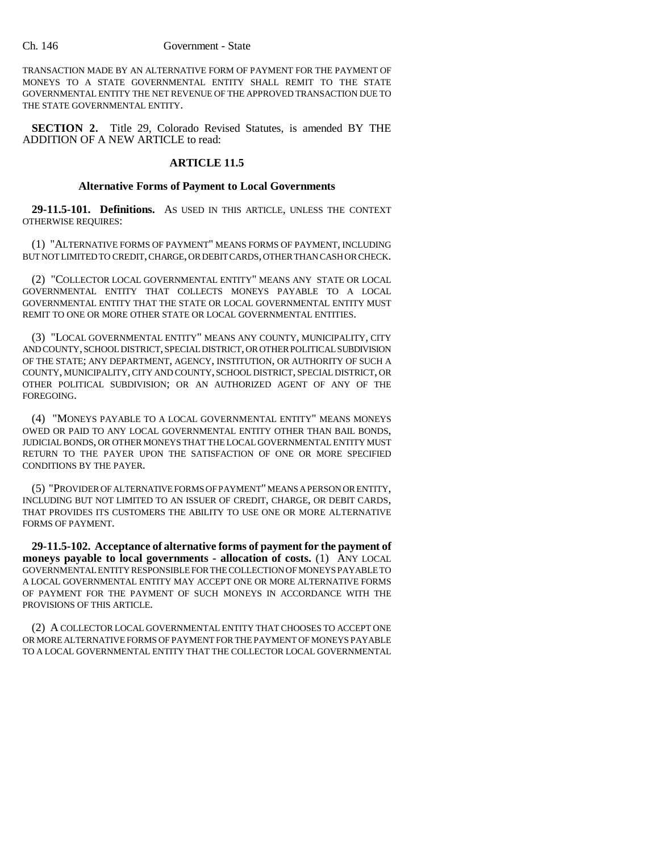#### Ch. 146 Government - State

TRANSACTION MADE BY AN ALTERNATIVE FORM OF PAYMENT FOR THE PAYMENT OF MONEYS TO A STATE GOVERNMENTAL ENTITY SHALL REMIT TO THE STATE GOVERNMENTAL ENTITY THE NET REVENUE OF THE APPROVED TRANSACTION DUE TO THE STATE GOVERNMENTAL ENTITY.

**SECTION 2.** Title 29, Colorado Revised Statutes, is amended BY THE ADDITION OF A NEW ARTICLE to read:

# **ARTICLE 11.5**

## **Alternative Forms of Payment to Local Governments**

**29-11.5-101. Definitions.** AS USED IN THIS ARTICLE, UNLESS THE CONTEXT OTHERWISE REQUIRES:

(1) "ALTERNATIVE FORMS OF PAYMENT" MEANS FORMS OF PAYMENT, INCLUDING BUT NOT LIMITED TO CREDIT, CHARGE, OR DEBIT CARDS, OTHER THAN CASH OR CHECK.

(2) "COLLECTOR LOCAL GOVERNMENTAL ENTITY" MEANS ANY STATE OR LOCAL GOVERNMENTAL ENTITY THAT COLLECTS MONEYS PAYABLE TO A LOCAL GOVERNMENTAL ENTITY THAT THE STATE OR LOCAL GOVERNMENTAL ENTITY MUST REMIT TO ONE OR MORE OTHER STATE OR LOCAL GOVERNMENTAL ENTITIES.

(3) "LOCAL GOVERNMENTAL ENTITY" MEANS ANY COUNTY, MUNICIPALITY, CITY AND COUNTY, SCHOOL DISTRICT, SPECIAL DISTRICT, OR OTHER POLITICAL SUBDIVISION OF THE STATE; ANY DEPARTMENT, AGENCY, INSTITUTION, OR AUTHORITY OF SUCH A COUNTY, MUNICIPALITY, CITY AND COUNTY, SCHOOL DISTRICT, SPECIAL DISTRICT, OR OTHER POLITICAL SUBDIVISION; OR AN AUTHORIZED AGENT OF ANY OF THE FOREGOING.

(4) "MONEYS PAYABLE TO A LOCAL GOVERNMENTAL ENTITY" MEANS MONEYS OWED OR PAID TO ANY LOCAL GOVERNMENTAL ENTITY OTHER THAN BAIL BONDS, JUDICIAL BONDS, OR OTHER MONEYS THAT THE LOCAL GOVERNMENTAL ENTITY MUST RETURN TO THE PAYER UPON THE SATISFACTION OF ONE OR MORE SPECIFIED CONDITIONS BY THE PAYER.

(5) "PROVIDER OF ALTERNATIVE FORMS OF PAYMENT" MEANS A PERSON OR ENTITY, INCLUDING BUT NOT LIMITED TO AN ISSUER OF CREDIT, CHARGE, OR DEBIT CARDS, THAT PROVIDES ITS CUSTOMERS THE ABILITY TO USE ONE OR MORE ALTERNATIVE FORMS OF PAYMENT.

**29-11.5-102. Acceptance of alternative forms of payment for the payment of moneys payable to local governments - allocation of costs.** (1) ANY LOCAL GOVERNMENTAL ENTITY RESPONSIBLE FOR THE COLLECTION OF MONEYS PAYABLE TO A LOCAL GOVERNMENTAL ENTITY MAY ACCEPT ONE OR MORE ALTERNATIVE FORMS OF PAYMENT FOR THE PAYMENT OF SUCH MONEYS IN ACCORDANCE WITH THE PROVISIONS OF THIS ARTICLE.

(2) A COLLECTOR LOCAL GOVERNMENTAL ENTITY THAT CHOOSES TO ACCEPT ONE OR MORE ALTERNATIVE FORMS OF PAYMENT FOR THE PAYMENT OF MONEYS PAYABLE TO A LOCAL GOVERNMENTAL ENTITY THAT THE COLLECTOR LOCAL GOVERNMENTAL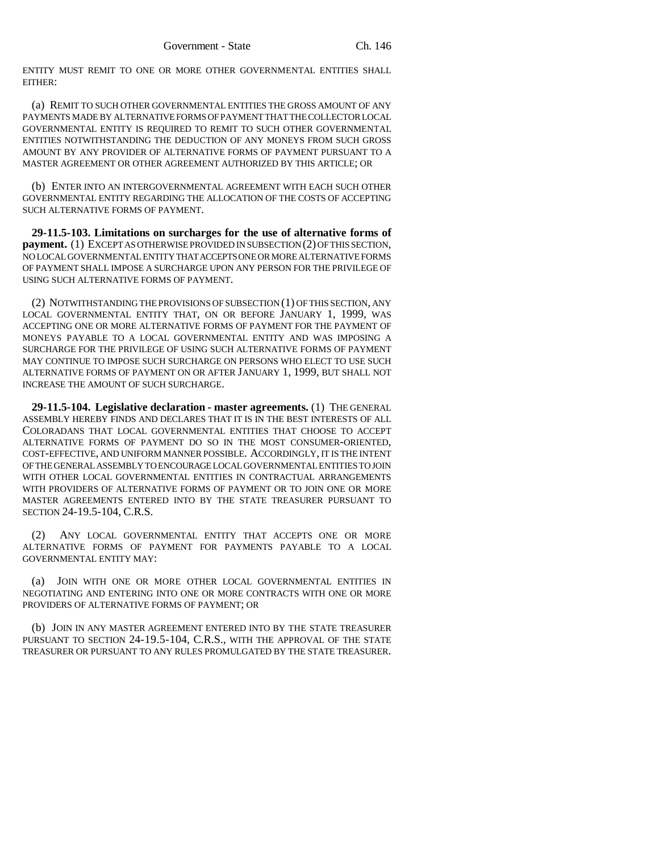ENTITY MUST REMIT TO ONE OR MORE OTHER GOVERNMENTAL ENTITIES SHALL EITHER:

(a) REMIT TO SUCH OTHER GOVERNMENTAL ENTITIES THE GROSS AMOUNT OF ANY PAYMENTS MADE BY ALTERNATIVE FORMS OF PAYMENT THAT THE COLLECTOR LOCAL GOVERNMENTAL ENTITY IS REQUIRED TO REMIT TO SUCH OTHER GOVERNMENTAL ENTITIES NOTWITHSTANDING THE DEDUCTION OF ANY MONEYS FROM SUCH GROSS AMOUNT BY ANY PROVIDER OF ALTERNATIVE FORMS OF PAYMENT PURSUANT TO A MASTER AGREEMENT OR OTHER AGREEMENT AUTHORIZED BY THIS ARTICLE; OR

(b) ENTER INTO AN INTERGOVERNMENTAL AGREEMENT WITH EACH SUCH OTHER GOVERNMENTAL ENTITY REGARDING THE ALLOCATION OF THE COSTS OF ACCEPTING SUCH ALTERNATIVE FORMS OF PAYMENT.

**29-11.5-103. Limitations on surcharges for the use of alternative forms of payment.** (1) EXCEPT AS OTHERWISE PROVIDED IN SUBSECTION (2) OF THIS SECTION, NO LOCAL GOVERNMENTAL ENTITY THAT ACCEPTS ONE OR MORE ALTERNATIVE FORMS OF PAYMENT SHALL IMPOSE A SURCHARGE UPON ANY PERSON FOR THE PRIVILEGE OF USING SUCH ALTERNATIVE FORMS OF PAYMENT.

(2) NOTWITHSTANDING THE PROVISIONS OF SUBSECTION (1) OF THIS SECTION, ANY LOCAL GOVERNMENTAL ENTITY THAT, ON OR BEFORE JANUARY 1, 1999, WAS ACCEPTING ONE OR MORE ALTERNATIVE FORMS OF PAYMENT FOR THE PAYMENT OF MONEYS PAYABLE TO A LOCAL GOVERNMENTAL ENTITY AND WAS IMPOSING A SURCHARGE FOR THE PRIVILEGE OF USING SUCH ALTERNATIVE FORMS OF PAYMENT MAY CONTINUE TO IMPOSE SUCH SURCHARGE ON PERSONS WHO ELECT TO USE SUCH ALTERNATIVE FORMS OF PAYMENT ON OR AFTER JANUARY 1, 1999, BUT SHALL NOT INCREASE THE AMOUNT OF SUCH SURCHARGE.

**29-11.5-104. Legislative declaration - master agreements.** (1) THE GENERAL ASSEMBLY HEREBY FINDS AND DECLARES THAT IT IS IN THE BEST INTERESTS OF ALL COLORADANS THAT LOCAL GOVERNMENTAL ENTITIES THAT CHOOSE TO ACCEPT ALTERNATIVE FORMS OF PAYMENT DO SO IN THE MOST CONSUMER-ORIENTED, COST-EFFECTIVE, AND UNIFORM MANNER POSSIBLE. ACCORDINGLY, IT IS THE INTENT OF THE GENERAL ASSEMBLY TO ENCOURAGE LOCAL GOVERNMENTAL ENTITIES TO JOIN WITH OTHER LOCAL GOVERNMENTAL ENTITIES IN CONTRACTUAL ARRANGEMENTS WITH PROVIDERS OF ALTERNATIVE FORMS OF PAYMENT OR TO JOIN ONE OR MORE MASTER AGREEMENTS ENTERED INTO BY THE STATE TREASURER PURSUANT TO SECTION 24-19.5-104, C.R.S.

(2) ANY LOCAL GOVERNMENTAL ENTITY THAT ACCEPTS ONE OR MORE ALTERNATIVE FORMS OF PAYMENT FOR PAYMENTS PAYABLE TO A LOCAL GOVERNMENTAL ENTITY MAY:

(a) JOIN WITH ONE OR MORE OTHER LOCAL GOVERNMENTAL ENTITIES IN NEGOTIATING AND ENTERING INTO ONE OR MORE CONTRACTS WITH ONE OR MORE PROVIDERS OF ALTERNATIVE FORMS OF PAYMENT; OR

(b) JOIN IN ANY MASTER AGREEMENT ENTERED INTO BY THE STATE TREASURER PURSUANT TO SECTION 24-19.5-104, C.R.S., WITH THE APPROVAL OF THE STATE TREASURER OR PURSUANT TO ANY RULES PROMULGATED BY THE STATE TREASURER.